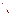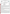**UNITED STATES ENVIRONMENTAL PROTECTION AGENCY**  Office of Research and Development Washington, D.C. 20460

AL PROTE



## **ENVIRONMENTAL TECHNOLOGY VERIFICATION PROGRAM VERIFICATION STATEMENT**

|                                 | TECHNOLOGY TYPE: FIELD PORTABLE X-RAY FLUORESCENCE ANALYZER                                                 |
|---------------------------------|-------------------------------------------------------------------------------------------------------------|
| APPLICATION:                    | <b>MEASUREMENT OF METALS IN SOIL</b>                                                                        |
| TECHNOLOGY NAME: TN Pb ANALYZER |                                                                                                             |
| COMPANY:<br>ADDRESS:            | <b>TN SPECTRACE</b><br>2555 N. INTERSTATE HWY 35<br><b>P.O. BOX 800</b><br><b>ROUND ROCK, TX 78680-0800</b> |
| PHONE:                          | (512) 388-9100                                                                                              |

The U.S. Environmental Protection Agency (EPA) has created a program to facilitate the deployment of innovative technologies through performance verification and information dissemination. The goal of the Environmental Technology Verification (ETV) Program is to further environmental protection by substantially accelerating the acceptance and use of improved and more cost-effective technologies. The ETV Program is intended to assist and inform those involved in the design, distribution, permitting, and purchase of environmental technologies. This document summarizes the results of a demonstration of the Spectrace TN Pb Analyzer.

# **PROGRAM OPERATION**

The EPA, in partnership with recognized testing organizations, objectively and systematically evaluates the performance of innovative technologies. Together, with the full participation of the technology developer, they develop plans, conduct tests, collect and analyze data, and report findings. The evaluations are conducted according to a rigorous demonstration plan and established protocols for quality assurance. The EPA's National Exposure Research Laboratory, which conducts demonstrations of field characterization and monitoring technologies, selected PRC Environmental Management, Inc., as the testing organization for the performance verification of field portable X-ray fluorescence (FPXRF) analyzers.

### **DEMONSTRATION DESCRIPTION**

In April 1995, the performance of seven FPXRF analyzers was determined under field conditions. Each analyzer was independently evaluated by comparing field analysis results to those obtained using approved reference methods. Standard reference materials (SRM) and performance evaluation (PE) samples also were used to independently assess the accuracy and comparability of each instrument.

The demonstration was designed to detect and measure a series of inorganic analytes in soil. The primary target analytes were arsenic, barium, chromium, copper, lead, and zinc; nickel, iron, cadmium, and antimony were secondary analytes. The demonstration sites were located in Iowa (the RV Hopkins site) and Washington (the ASARCO site). These sites were chosen because they exhibit a wide range of concentrations for most of the target metals and are located in different climatological regions of the United States; combined, they exhibit three distinct soil types: sand, clay, and loam. The conditions at these sites are representative of those environments under which the technology would be expected to operate. Details of the demonstration, including a data summary and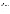discussion of results, may be found in the report entitled "Environmental Technology Verification Report, Field Portable X-ray Fluorescence Analyzer, Spectrace TN 9000 and TN Pb Field Portable X-ray Fluorescence Analyzers." The EPA document number for this report is EPA/600/R-97/145.

The EPA Method 6200 was tested and validated using the data derived from this demonstration. This method may be used to support the general application of FPXRF for environmental analysis.

#### **TECHNOLOGY DESCRIPTION**

This analyzer operates on the principle of energy dispersive X-ray fluorescence spectroscopy where the characteristic energy components of the excited X-ray spectrum are analyzed directly by an energy proportional response in the X-ray detector. Energy dispersion affords a highly efficient, full-spectrum measurement which enables the use of low intensity excitation sources (such as radioisotopes) and compact battery-powered, fieldportable electronics. The FPXRF instruments are designed to provide rapid analysis of metals in soil. This information allows investigation and remediation decisions to be made on-site and reduces the number of samples that need to be submitted for laboratory analysis. In the operation of these instruments, the user must be aware that FPXRF analyzers do not respond well to chromium and that detection limits may be 5 to 10 times greater than conventional laboratory methods. As with all field collection programs, a portion of the samples should be sent to a laboratory for confirmatory analyses.

The TN Pb Analyzer was specifically designed to analyze for lead in a variety of matrices. It is field portable, weighing less than 20 pounds, and can be battery powered up to 8 hours. It uses a single radioactive source (cadmium-109) and a mercuric iodide semiconductor detector to analyze metals in soils using relatively short count times (60 seconds). The single radioactive source limits the number of analytes which can be detected. In this demonstration, the TN Pb Analyzer's Soils Application software was configured to report concentrations for arsenic, chromium, copper, lead, and zinc. Contaminant concentrations are computed using a fundamental parameters (FP) calibrated algorithm included in the analyzer's operations software. The FP method does not require site-specific calibration samples; however, such samples can be used to customize the calibration to a particular matrix. The TN Pb Analyzer can conduct *in situ* measurements or measure samples in cups. At the time of the demonstration, the cost of the TN Pb Analyzer was about \$39,500, or it could be leased for \$5,500 per month or \$3,000 for 2 weeks.

### **VERIFICATION OF PERFORMANCE**

The performance characteristics of the TN Pb Analyzer include the following:

- **• Detection limits:** Precision-based detection limits were determined by collecting 10 replicate measurements on site-specific soil samples with metals concentrations 2 to 5 times the expected MDLs. The results were 115 milligrams per kilogram (mg/kg) or less for arsenic, copper, lead, and zinc. Chromium was determined to be 460 mg/kg.
- **Throughput:** Average throughput was between 20 and 25 analyses per hour using a count time of 60 seconds. This rate only represents the analysis time since different personnel were used to prepare the samples.
- **Drift:** Based on a daily analysis of an SRM, which contained quantifiable levels of arsenic, copper, lead, and zinc, the drift RSD values for the mean recovery of these analytes were less than 8 percent.
- **Completeness:** The TN Pb Analyzer produced results for all of the 1,260 samples for a completeness of 100 percent.
- **Blank results:** During the demonstration, a total of 20 SiO<sub>2</sub> blank samples was analyzed. None of the reported analytes were detected above the method detection limits.
- **Precision:** The goal of the demonstration was to achieve relative standard deviations (RSD) of less than 20 percent at analyte concentrations of 5 to 10 times the method detection limits. The RSD values for arsenic, copper, lead, and zinc were less than 10 percent. A value for chromium was not determined due to a lack of sufficient samples in the required concentration range.